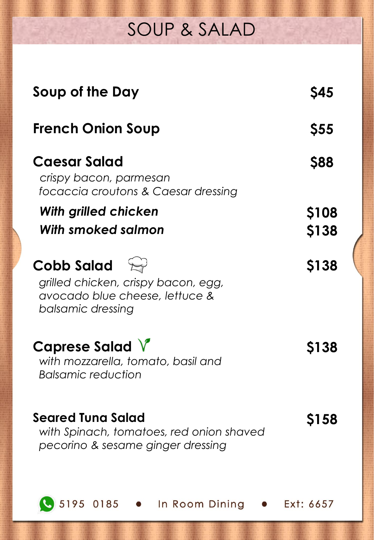## SOUP & SALAD

| Soup of the Day                                                                                                         | <b>Ş45</b>                  |
|-------------------------------------------------------------------------------------------------------------------------|-----------------------------|
| <b>French Onion Soup</b>                                                                                                | <b>\$55</b>                 |
| <b>Caesar Salad</b><br>crispy bacon, parmesan<br>focaccia croutons & Caesar dressing                                    | <b>S88</b>                  |
| With grilled chicken<br>With smoked salmon                                                                              | <b>\$108</b><br><b>S138</b> |
| Cobb Salad $\mathbb{R}^3$<br>grilled chicken, crispy bacon, egg,<br>avocado blue cheese, lettuce &<br>balsamic dressing | S138                        |
| Caprese Salad V<br>with mozzarella, tomato, basil and<br>Balsamic reduction                                             | <b>S138</b>                 |
| Seared Tuna Salad<br>with Spinach, tomatoes, red onion shaved<br>pecorino & sesame ginger dressing                      | <b>S158</b>                 |
| 5195 0185<br>In Room Dining                                                                                             | Ext: 6657                   |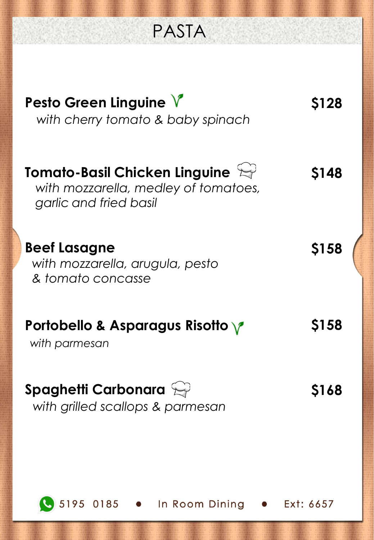PASTA

| Pesto Green Linguine $V$<br>with cherry tomato & baby spinach                                                         | <b>S128</b> |
|-----------------------------------------------------------------------------------------------------------------------|-------------|
| <b>Tomato-Basil Chicken Linguine</b> $\mathbb{R}^3$<br>with mozzarella, medley of tomatoes,<br>garlic and fried basil | <b>S148</b> |
| <b>Beef Lasagne</b><br>with mozzarella, arugula, pesto<br>& tomato concasse                                           | S158        |
| Portobello & Asparagus Risotto $\sqrt{\ }$<br>with parmesan                                                           | S158        |
| Spaghetti Carbonara $\leftrightarrow$<br>with grilled scallops & parmesan                                             | 5168        |
|                                                                                                                       |             |
| 5195 0185<br>In Room Dining<br>$\bullet$                                                                              | Ext: 6657   |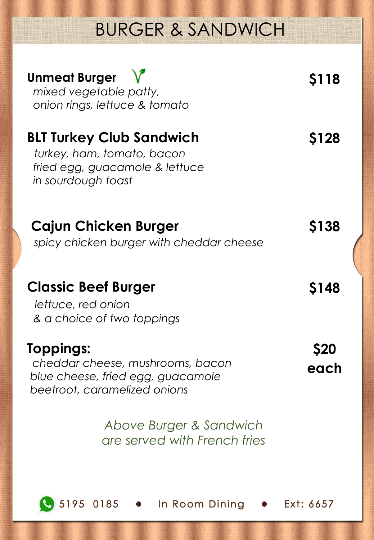# BURGER & SANDWICH



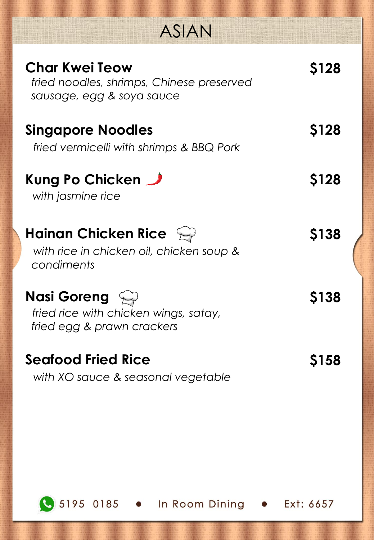|  |  | <b>ASIAN</b> |
|--|--|--------------|
|  |  |              |

Mt 1

| <b>Char Kwei Teow</b><br>fried noodles, shrimps, Chinese preserved<br>sausage, egg & soya sauce        | <b>S128</b>  |
|--------------------------------------------------------------------------------------------------------|--------------|
| <b>Singapore Noodles</b><br>fried vermicelli with shrimps & BBQ Pork                                   | S128         |
| Kung Po Chicken<br>with jasmine rice                                                                   | <b>S128</b>  |
| Hainan Chicken Rice $\mathbb{C}^3$<br>with rice in chicken oil, chicken soup &<br>condiments           | <b>S138</b>  |
| <b>Nasi Goreng</b> $\mathbb{Q}$<br>fried rice with chicken wings, satay,<br>fried egg & prawn crackers | <b>\$138</b> |
| <b>Seafood Fried Rice</b><br>with XO sauce & seasonal vegetable                                        | <b>S158</b>  |



5195 0185 . In Room Dining . Ext: 6657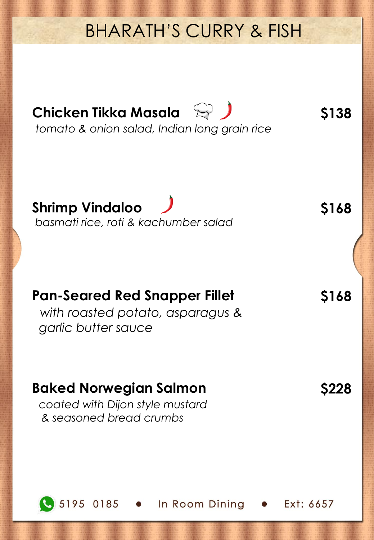### BHARATH'S CURRY & FISH

**Chicken Tikka Masala**  $\mathbb{Q}$ *tomato & onion salad, Indian long grain rice* **\$138 Shrimp Vindaloo**  *basmati rice, roti & kachumber salad* **\$168 Pan-Seared Red Snapper Fillet** *with roasted potato, asparagus & garlic butter sauce* **\$168 Baked Norwegian Salmon** *coated with Dijon style mustard & seasoned bread crumbs* **\$228**

. In Room Dining

Ext: 6657

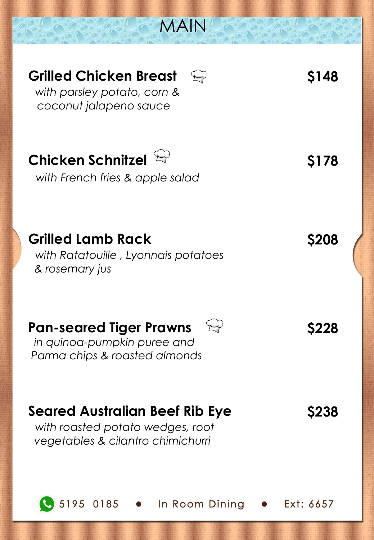

5195 0185

In Room Dining

Ext: 6657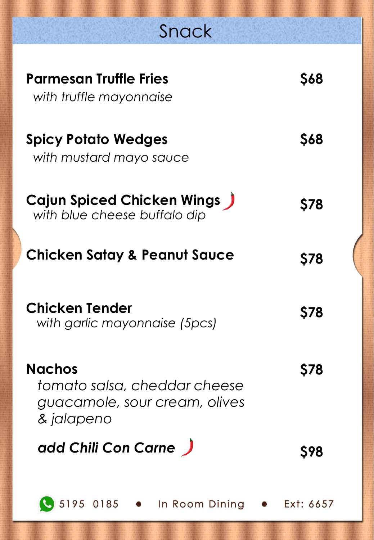# Snack

| Parmesan Truffle Fries<br>with truffle mayonnaise                                            | <b>S68</b> |
|----------------------------------------------------------------------------------------------|------------|
| <b>Spicy Potato Wedges</b><br>with mustard mayo sauce                                        | <b>S68</b> |
| <b>Cajun Spiced Chicken Wings J</b><br>with blue cheese buffalo dip                          | <b>S78</b> |
| <b>Chicken Satay &amp; Peanut Sauce</b>                                                      | <b>S78</b> |
| Chicken Tender<br>with garlic mayonnaise (5pcs)                                              | <b>S78</b> |
| <b>Nachos</b><br>tomato salsa, cheddar cheese<br>guacamole, sour cream, olives<br>& jalapeno |            |
| add Chili Con Carne                                                                          | \$98       |
| 5195 0185 . In Room Dining . Ext: 6657                                                       |            |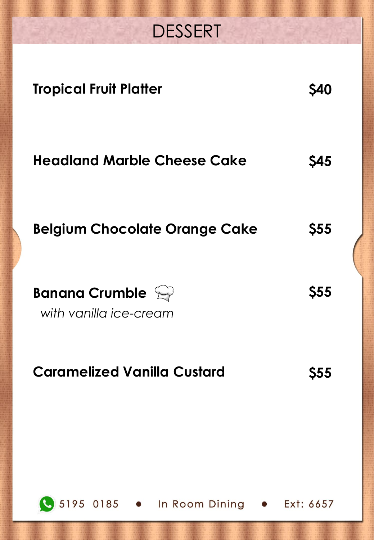# DESSERT

| <b>Tropical Fruit Platter</b>                                | <b>S40</b>  |
|--------------------------------------------------------------|-------------|
| <b>Headland Marble Cheese Cake</b>                           | <b>S45</b>  |
| <b>Belgium Chocolate Orange Cake</b>                         | <b>\$55</b> |
| <b>Banana Crumble</b> $\mathbb{Q}$<br>with vanilla ice-cream | <b>\$55</b> |
| <b>Caramelized Vanilla Custard</b>                           | 555         |
| 5195 0185 . In Room Dining . Ext: 6657                       |             |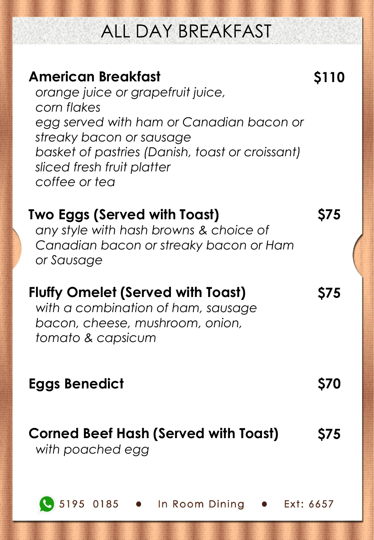# ALL DAY BREAKFAST

**\$110**

**\$75**

**\$75**

### **American Breakfast**

*orange juice or grapefruit juice, corn flakes egg served with ham or Canadian bacon or streaky bacon or sausage basket of pastries (Danish, toast or croissant) sliced fresh fruit platter coffee or tea*

### **Two Eggs (Served with Toast)**

*any style with hash browns & choice of Canadian bacon or streaky bacon or Ham or Sausage* 

### **Fluffy Omelet (Served with Toast)**

*with a combination of ham, sausage bacon, cheese, mushroom, onion, tomato & capsicum*

### **Eggs Benedict \$70**

#### **Corned Beef Hash (Served with Toast)** *with poached egg* **\$75**

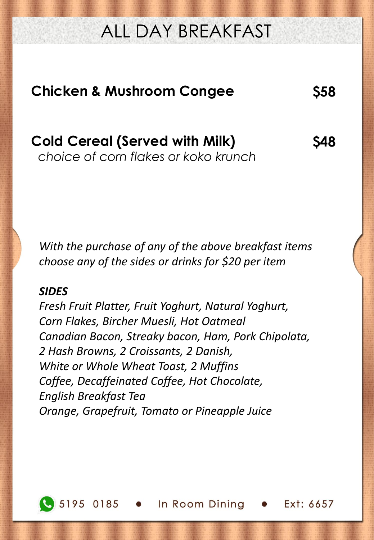## ALL DAY BREAKFAST

# **Chicken & Mushroom Congee \$58**

*choice of corn flakes or koko krunch*

**Cold Cereal (Served with Milk)** 

*With the purchase of any of the above breakfast items choose any of the sides or drinks for \$20 per item* 

#### *SIDES*

*Fresh Fruit Platter, Fruit Yoghurt, Natural Yoghurt, Corn Flakes, Bircher Muesli, Hot Oatmeal Canadian Bacon, Streaky bacon, Ham, Pork Chipolata, 2 Hash Browns, 2 Croissants, 2 Danish, White or Whole Wheat Toast, 2 Muffins Coffee, Decaffeinated Coffee, Hot Chocolate, English Breakfast Tea Orange, Grapefruit, Tomato or Pineapple Juice* 



5195 0185 . In Room Dining **\$48**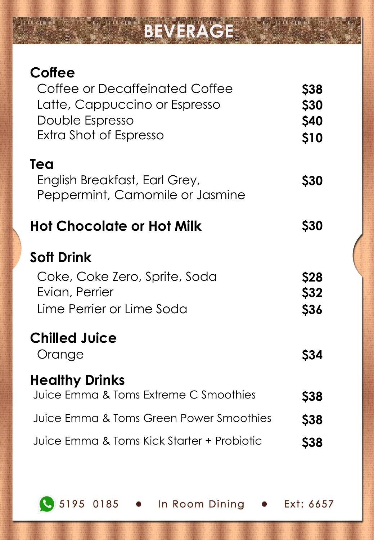# **BEVERAGE**

**\$40**

**\$10**

**\$30**

| Coffee<br>Coffee or Decaffeinated Coffee<br>Latte, Cappuccino or Espresso<br>Double Espresso      | <b>\$38</b><br><b>\$30</b><br><b>\$40</b> |
|---------------------------------------------------------------------------------------------------|-------------------------------------------|
| Extra Shot of Espresso<br>Tea<br>English Breakfast, Earl Grey,                                    | \$10<br><b>\$30</b>                       |
| Peppermint, Camomile or Jasmine<br><b>Hot Chocolate or Hot Milk</b>                               | <b>\$30</b>                               |
| <b>Soft Drink</b><br>Coke, Coke Zero, Sprite, Soda<br>Evian, Perrier<br>Lime Perrier or Lime Soda | <b>\$28</b><br>\$32<br><b>\$36</b>        |
| <b>Chilled Juice</b><br>Orange                                                                    | <b>S34</b>                                |
| <b>Healthy Drinks</b><br>Juice Emma & Toms Extreme C Smoothies                                    | <b>Ş38</b>                                |
| Juice Emma & Toms Green Power Smoothies                                                           | <b>\$38</b>                               |
| Juice Emma & Toms Kick Starter + Probiotic                                                        | <b>\$38</b>                               |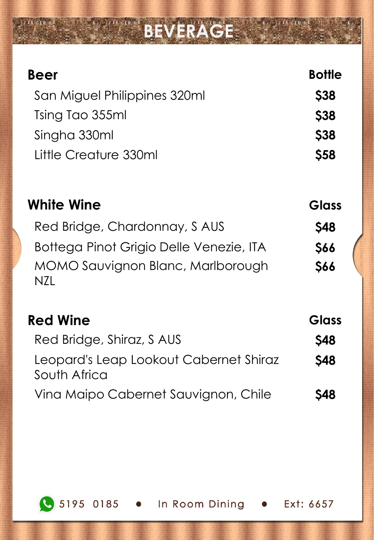# **BEVERAGE**

| Beer                                                   | <b>Bottle</b> |
|--------------------------------------------------------|---------------|
| San Miguel Philippines 320ml                           | <b>\$38</b>   |
| Tsing Tao 355ml                                        | <b>\$38</b>   |
| Singha 330ml                                           | \$38          |
| Little Creature 330ml                                  | \$58          |
| <b>White Wine</b>                                      | <b>Glass</b>  |
| Red Bridge, Chardonnay, S AUS                          | <b>S48</b>    |
| Bottega Pinot Grigio Delle Venezie, ITA                | <b>\$66</b>   |
| MOMO Sauvignon Blanc, Marlborough<br>N7I               | \$66          |
| <b>Red Wine</b>                                        | Glass         |
| Red Bridge, Shiraz, S AUS                              | <b>S48</b>    |
| Leopard's Leap Lookout Cabernet Shiraz<br>South Africa | <b>S48</b>    |
| Vina Maipo Cabernet Sauvignon, Chile                   | <b>S48</b>    |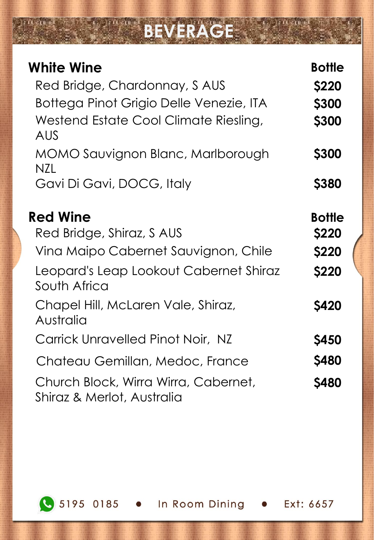# **BEVERAGE**

| <b>White Wine</b><br>Red Bridge, Chardonnay, S AUS<br>Bottega Pinot Grigio Delle Venezie, ITA<br>Westend Estate Cool Climate Riesling,<br><b>AUS</b> | <b>Bottle</b><br>\$220<br>\$300<br><b>\$300</b>               |
|------------------------------------------------------------------------------------------------------------------------------------------------------|---------------------------------------------------------------|
| MOMO Sauvignon Blanc, Marlborough                                                                                                                    | <b>\$300</b>                                                  |
| N7I.<br>Gavi Di Gavi, DOCG, Italy                                                                                                                    | <b>\$380</b>                                                  |
| <b>Red Wine</b><br>Red Bridge, Shiraz, S AUS<br>Vina Maipo Cabernet Sauvignon, Chile<br>Leopard's Leap Lookout Cabernet Shiraz<br>South Africa       | <b>Bottle</b><br><b>\$220</b><br><b>\$220</b><br><b>\$220</b> |
| Chapel Hill, McLaren Vale, Shiraz,<br>Australia                                                                                                      | <b>S420</b>                                                   |
| Carrick Unravelled Pinot Noir, NZ                                                                                                                    | <b>\$450</b>                                                  |
| Chateau Gemillan, Medoc, France                                                                                                                      | <b>\$480</b>                                                  |
| Church Block, Wirra Wirra, Cabernet,<br>Shiraz & Merlot, Australia                                                                                   | <b>S480</b>                                                   |